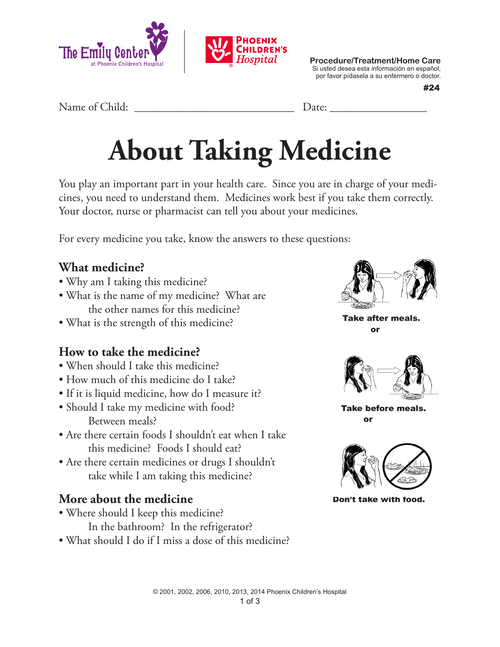

**Procedure/Treatment/Home Care** Si usted desea esta información en español, por favor pídasela a su enfermero o doctor.

#24

Name of Child: <u>Date:</u> **Example 20** 

# **About Taking Medicine**

You play an important part in your health care. Since you are in charge of your medicines, you need to understand them. Medicines work best if you take them correctly. Your doctor, nurse or pharmacist can tell you about your medicines.

For every medicine you take, know the answers to these questions:

#### **What medicine?**

- Why am I taking this medicine?
- What is the name of my medicine? What are the other names for this medicine?
- What is the strength of this medicine?

## **How to take the medicine?**

- When should I take this medicine?
- How much of this medicine do I take?
- If it is liquid medicine, how do I measure it?
- Should I take my medicine with food? Between meals?
- Are there certain foods I shouldn't eat when I take this medicine? Foods I should eat?
- Are there certain medicines or drugs I shouldn't take while I am taking this medicine?

## **More about the medicine**

- Where should I keep this medicine?
	- In the bathroom? In the refrigerator?
- What should I do if I miss a dose of this medicine?



Take after meals.

or



Take before meals. or



Don't take with food.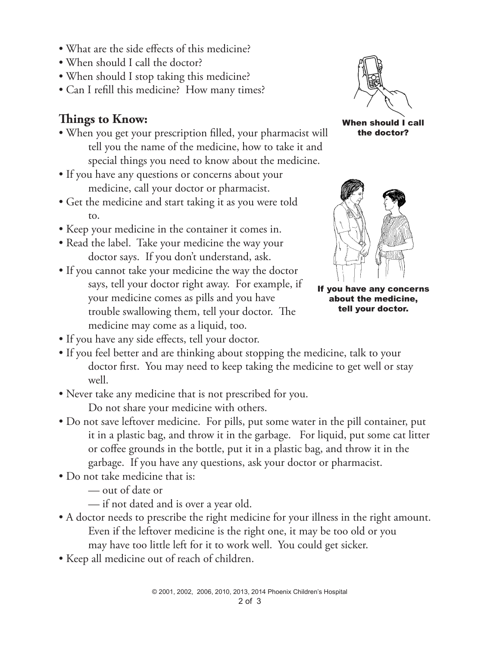- What are the side effects of this medicine?
- When should I call the doctor?
- When should I stop taking this medicine?
- Can I refill this medicine? How many times?

#### **Things to Know:**

- When you get your prescription filled, your pharmacist will tell you the name of the medicine, how to take it and special things you need to know about the medicine.
- If you have any questions or concerns about your medicine, call your doctor or pharmacist.
- Get the medicine and start taking it as you were told to.
- Keep your medicine in the container it comes in.
- Read the label. Take your medicine the way your doctor says. If you don't understand, ask.
- If you cannot take your medicine the way the doctor says, tell your doctor right away. For example, if your medicine comes as pills and you have trouble swallowing them, tell your doctor. The medicine may come as a liquid, too.
- If you have any side effects, tell your doctor.
- If you feel better and are thinking about stopping the medicine, talk to your doctor first. You may need to keep taking the medicine to get well or stay well.
- Never take any medicine that is not prescribed for you. Do not share your medicine with others.
- Do not save leftover medicine. For pills, put some water in the pill container, put it in a plastic bag, and throw it in the garbage. For liquid, put some cat litter or coffee grounds in the bottle, put it in a plastic bag, and throw it in the garbage. If you have any questions, ask your doctor or pharmacist.
- Do not take medicine that is:
	- out of date or
	- if not dated and is over a year old.
- A doctor needs to prescribe the right medicine for your illness in the right amount. Even if the leftover medicine is the right one, it may be too old or you may have too little left for it to work well. You could get sicker.
- Keep all medicine out of reach of children.



the doctor?



If you have any concerns about the medicine, tell your doctor.